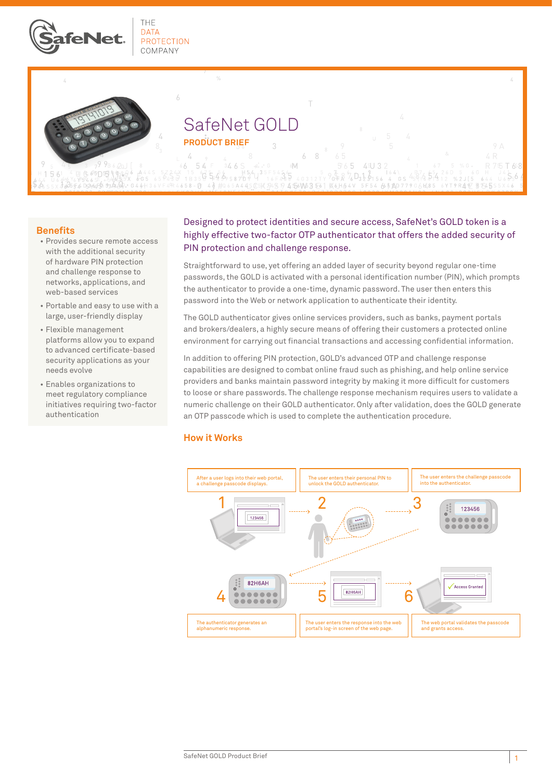

THE **DATA PROTECTION** COMPANY

6



# SafeNet GOLD **PRODUCT BRIEF**

6 8 565 R 75 T 68  $6\,$ 54 346S 6M 45U 32  $\begin{array}{ccc} 15 & 67 \\ 18359 & 5403 \\ 18359 & 5498 \\ 800 & 1835 \end{array}$  $65D51822$  $9687D_323156$ 164  $4.8^{7}_{6}6\frac{55}{4}4$  $^{4}$ 35  $_{4}$  $5-6$ 4 56 W 5 3 5-6 -6 a  $\sqrt{ }$  $48#0$  $\Delta\Delta\Delta$ 

#### **Benefits**

- • Provides secure remote access with the additional security of hardware PIN protection and challenge response to networks, applications, and web-based services
- • Portable and easy to use with a large, user-friendly display
- • Flexible management platforms allow you to expand to advanced certificate-based security applications as your needs evolve
- • Enables organizations to meet regulatory compliance initiatives requiring two-factor authentication

# Designed to protect identities and secure access, SafeNet's GOLD token is a highly effective two-factor OTP authenticator that offers the added security of PIN protection and challenge response.

Straightforward to use, yet offering an added layer of security beyond regular one-time passwords, the GOLD is activated with a personal identification number (PIN), which prompts the authenticator to provide a one-time, dynamic password. The user then enters this password into the Web or network application to authenticate their identity.

The GOLD authenticator gives online services providers, such as banks, payment portals and brokers/dealers, a highly secure means of offering their customers a protected online environment for carrying out financial transactions and accessing confidential information.

In addition to offering PIN protection, GOLD's advanced OTP and challenge response capabilities are designed to combat online fraud such as phishing, and help online service providers and banks maintain password integrity by making it more difficult for customers to loose or share passwords. The challenge response mechanism requires users to validate a numeric challenge on their GOLD authenticator. Only after validation, does the GOLD generate an OTP passcode which is used to complete the authentication procedure.

### **How it Works**